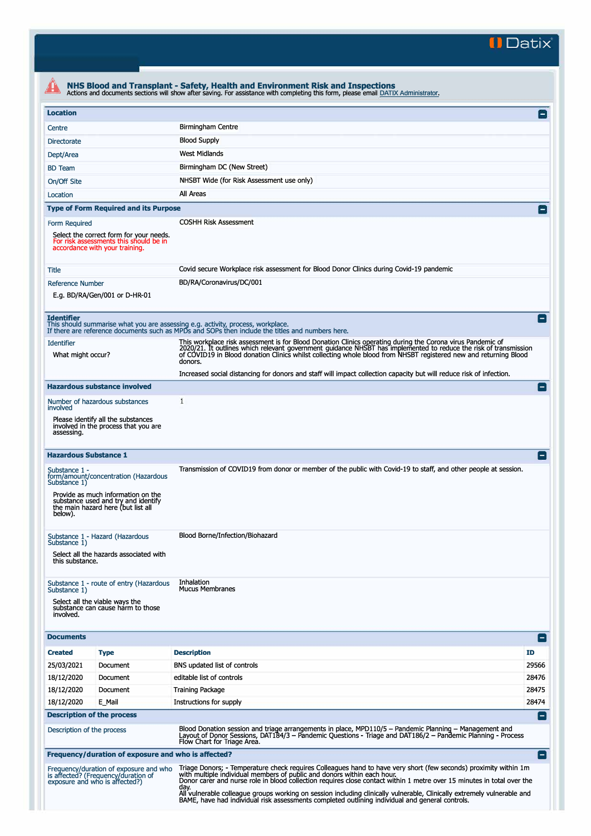**II Datix"** 

| <b>Location</b>                          |                                                                                                                                                         |                                                                                                                                                                                                                                                                                                                               | $\Box$         |
|------------------------------------------|---------------------------------------------------------------------------------------------------------------------------------------------------------|-------------------------------------------------------------------------------------------------------------------------------------------------------------------------------------------------------------------------------------------------------------------------------------------------------------------------------|----------------|
| Centre                                   |                                                                                                                                                         | <b>Birmingham Centre</b>                                                                                                                                                                                                                                                                                                      |                |
| <b>Directorate</b>                       |                                                                                                                                                         | <b>Blood Supply</b>                                                                                                                                                                                                                                                                                                           |                |
| Dept/Area                                |                                                                                                                                                         | <b>West Midlands</b>                                                                                                                                                                                                                                                                                                          |                |
| <b>BD</b> Team                           |                                                                                                                                                         | Birmingham DC (New Street)                                                                                                                                                                                                                                                                                                    |                |
| On/Off Site                              |                                                                                                                                                         | NHSBT Wide (for Risk Assessment use only)                                                                                                                                                                                                                                                                                     |                |
| Location                                 |                                                                                                                                                         | All Areas                                                                                                                                                                                                                                                                                                                     |                |
|                                          | <b>Type of Form Required and its Purpose</b>                                                                                                            |                                                                                                                                                                                                                                                                                                                               |                |
| Form Required                            |                                                                                                                                                         | <b>COSHH Risk Assessment</b>                                                                                                                                                                                                                                                                                                  |                |
|                                          | Select the correct form for your needs.<br>For risk assessments this should be in<br>accordance with your training.                                     |                                                                                                                                                                                                                                                                                                                               |                |
| Title                                    |                                                                                                                                                         | Covid secure Workplace risk assessment for Blood Donor Clinics during Covid-19 pandemic                                                                                                                                                                                                                                       |                |
| <b>Reference Number</b>                  |                                                                                                                                                         | BD/RA/Coronavirus/DC/001                                                                                                                                                                                                                                                                                                      |                |
|                                          | E.g. BD/RA/Gen/001 or D-HR-01                                                                                                                           |                                                                                                                                                                                                                                                                                                                               |                |
| <b>Identifier</b>                        |                                                                                                                                                         | This should summarise what you are assessing e.g. activity, process, workplace.                                                                                                                                                                                                                                               |                |
| <b>Identifier</b>                        |                                                                                                                                                         | If there are reference documents such as MPDs and SOPs then include the titles and numbers here.<br>This workplace risk assessment is for Blood Donation Clinics operating during the Corona virus Pandemic of                                                                                                                |                |
| What might occur?                        |                                                                                                                                                         | 2020/21. It outlines which relevant government guidance NHSBT has implemented to reduce the risk of transmission<br>of COVID19 in Blood donation Clinics whilst collecting whole blood from NHSBT registered new and returning Blood<br>donors.                                                                               |                |
|                                          |                                                                                                                                                         | Increased social distancing for donors and staff will impact collection capacity but will reduce risk of infection.                                                                                                                                                                                                           |                |
|                                          | <b>Hazardous substance involved</b>                                                                                                                     |                                                                                                                                                                                                                                                                                                                               | l — i          |
| involved                                 | Number of hazardous substances                                                                                                                          | 1                                                                                                                                                                                                                                                                                                                             |                |
| assessing.                               | Please identify all the substances<br>involved in the process that you are                                                                              |                                                                                                                                                                                                                                                                                                                               |                |
| <b>Hazardous Substance 1</b>             |                                                                                                                                                         |                                                                                                                                                                                                                                                                                                                               | -              |
| Substance 1 -<br>Substance 1)<br>below). | form/amount/concentration (Hazardous<br>Provide as much information on the<br>substance used and try and identify<br>the main hazard here (but list all | Transmission of COVID19 from donor or member of the public with Covid-19 to staff, and other people at session.                                                                                                                                                                                                               |                |
| Substance 1)<br>this substance.          | Substance 1 - Hazard (Hazardous<br>Select all the hazards associated with                                                                               | Blood Borne/Infection/Biohazard                                                                                                                                                                                                                                                                                               |                |
| Substance 1)<br>involved.                | Substance 1 - route of entry (Hazardous<br>Select all the viable ways the<br>substance can cause harm to those                                          | Inhalation<br><b>Mucus Membranes</b>                                                                                                                                                                                                                                                                                          |                |
| <b>Documents</b>                         |                                                                                                                                                         |                                                                                                                                                                                                                                                                                                                               | $\overline{ }$ |
| <b>Created</b>                           | <b>Type</b>                                                                                                                                             | <b>Description</b>                                                                                                                                                                                                                                                                                                            | ID.            |
| 25/03/2021                               | Document                                                                                                                                                | BNS updated list of controls                                                                                                                                                                                                                                                                                                  | 29566          |
| 18/12/2020                               | Document                                                                                                                                                | editable list of controls                                                                                                                                                                                                                                                                                                     | 28476          |
| 18/12/2020                               | Document                                                                                                                                                | <b>Training Package</b>                                                                                                                                                                                                                                                                                                       | 28475          |
| 18/12/2020                               | E_Mail                                                                                                                                                  | Instructions for supply                                                                                                                                                                                                                                                                                                       | 28474          |
|                                          | <b>Description of the process</b>                                                                                                                       |                                                                                                                                                                                                                                                                                                                               | E              |
| Description of the process               |                                                                                                                                                         | Blood Donation session and triage arrangements in place, MPD110/5 - Pandemic Planning - Management and<br>Layout of Donor Sessions, DAT184/3 – Pandemic Questions - Triage and DAT186/2 – Pandemic Planning - Process<br>Flow Chart for Triage Area.                                                                          |                |
|                                          | Frequency/duration of exposure and who is affected?                                                                                                     |                                                                                                                                                                                                                                                                                                                               | ۸              |
|                                          | Frequency/duration of exposure and who<br>is affected? (Frequency/duration of<br>exposure and who is affected?)                                         | Triage Donors; - Temperature check requires Colleagues hand to have very short (few seconds) proximity within 1m<br>with multiple individual members of public and donors within each hour.<br>Donor carer and nurse role in blood collection requires close contact within 1 metre over 15 minutes in total over the<br>day. |                |